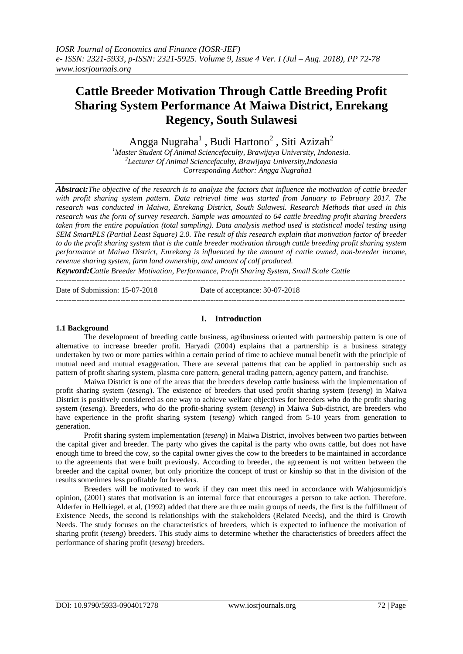# **Cattle Breeder Motivation Through Cattle Breeding Profit Sharing System Performance At Maiwa District, Enrekang Regency, South Sulawesi**

Angga Nugraha $^1$  , Budi Hartono $^2$  , Siti Azizah $^2$ 

*<sup>1</sup>Master Student Of Animal Sciencefaculty, Brawijaya University, Indonesia. 2 Lecturer Of Animal Sciencefaculty, Brawijaya University,Indonesia Corresponding Author: Angga Nugraha1*

*Abstract:The objective of the research is to analyze the factors that influence the motivation of cattle breeder with profit sharing system pattern. Data retrieval time was started from January to February 2017. The research was conducted in Maiwa, Enrekang District, South Sulawesi. Research Methods that used in this research was the form of survey research. Sample was amounted to 64 cattle breeding profit sharing breeders taken from the entire population (total sampling). Data analysis method used is statistical model testing using SEM SmartPLS (Partial Least Square) 2.0. The result of this research explain that motivation factor of breeder to do the profit sharing system that is the cattle breeder motivation through cattle breeding profit sharing system performance at Maiwa District, Enrekang is influenced by the amount of cattle owned, non-breeder income, revenue sharing system, farm land ownership, and amount of calf produced.*

*Keyword:Cattle Breeder Motivation, Performance, Profit Sharing System, Small Scale Cattle*

Date of Submission: 15-07-2018 Date of acceptance: 30-07-2018

---------------------------------------------------------------------------------------------------------------------------------------

---------------------------------------------------------------------------------------------------------------------------------------

# **I. Introduction**

## **1.1 Background**

The development of breeding cattle business, agribusiness oriented with partnership pattern is one of alternative to increase breeder profit. Haryadi (2004) explains that a partnership is a business strategy undertaken by two or more parties within a certain period of time to achieve mutual benefit with the principle of mutual need and mutual exaggeration. There are several patterns that can be applied in partnership such as pattern of profit sharing system, plasma core pattern, general trading pattern, agency pattern, and franchise.

Maiwa District is one of the areas that the breeders develop cattle business with the implementation of profit sharing system (*teseng*). The existence of breeders that used profit sharing system (*teseng*) in Maiwa District is positively considered as one way to achieve welfare objectives for breeders who do the profit sharing system (*teseng*). Breeders, who do the profit-sharing system (*teseng*) in Maiwa Sub-district, are breeders who have experience in the profit sharing system (*teseng*) which ranged from 5-10 years from generation to generation.

Profit sharing system implementation (*teseng*) in Maiwa District, involves between two parties between the capital giver and breeder. The party who gives the capital is the party who owns cattle, but does not have enough time to breed the cow, so the capital owner gives the cow to the breeders to be maintained in accordance to the agreements that were built previously. According to breeder, the agreement is not written between the breeder and the capital owner, but only prioritize the concept of trust or kinship so that in the division of the results sometimes less profitable for breeders.

Breeders will be motivated to work if they can meet this need in accordance with Wahjosumidjo's opinion, (2001) states that motivation is an internal force that encourages a person to take action. Therefore. Alderfer in Hellriegel. et al, (1992) added that there are three main groups of needs, the first is the fulfillment of Existence Needs, the second is relationships with the stakeholders (Related Needs), and the third is Growth Needs. The study focuses on the characteristics of breeders, which is expected to influence the motivation of sharing profit (*teseng*) breeders. This study aims to determine whether the characteristics of breeders affect the performance of sharing profit (*teseng*) breeders.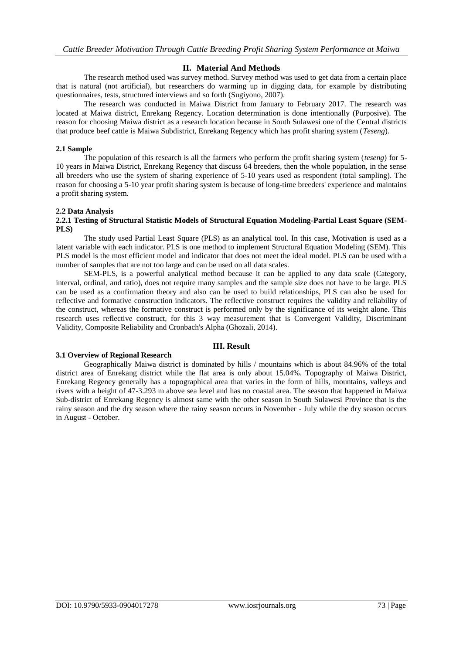# **II. Material And Methods**

The research method used was survey method. Survey method was used to get data from a certain place that is natural (not artificial), but researchers do warming up in digging data, for example by distributing questionnaires, tests, structured interviews and so forth (Sugiyono, 2007).

The research was conducted in Maiwa District from January to February 2017. The research was located at Maiwa district, Enrekang Regency. Location determination is done intentionally (Purposive). The reason for choosing Maiwa district as a research location because in South Sulawesi one of the Central districts that produce beef cattle is Maiwa Subdistrict, Enrekang Regency which has profit sharing system (*Teseng*).

## **2.1 Sample**

The population of this research is all the farmers who perform the profit sharing system (*teseng*) for 5- 10 years in Maiwa District, Enrekang Regency that discuss 64 breeders, then the whole population, in the sense all breeders who use the system of sharing experience of 5-10 years used as respondent (total sampling). The reason for choosing a 5-10 year profit sharing system is because of long-time breeders' experience and maintains a profit sharing system.

## **2.2 Data Analysis**

## **2.2.1 Testing of Structural Statistic Models of Structural Equation Modeling-Partial Least Square (SEM-PLS)**

The study used Partial Least Square (PLS) as an analytical tool. In this case, Motivation is used as a latent variable with each indicator. PLS is one method to implement Structural Equation Modeling (SEM). This PLS model is the most efficient model and indicator that does not meet the ideal model. PLS can be used with a number of samples that are not too large and can be used on all data scales.

SEM-PLS, is a powerful analytical method because it can be applied to any data scale (Category, interval, ordinal, and ratio), does not require many samples and the sample size does not have to be large. PLS can be used as a confirmation theory and also can be used to build relationships, PLS can also be used for reflective and formative construction indicators. The reflective construct requires the validity and reliability of the construct, whereas the formative construct is performed only by the significance of its weight alone. This research uses reflective construct, for this 3 way measurement that is Convergent Validity, Discriminant Validity, Composite Reliability and Cronbach's Alpha (Ghozali, 2014).

# **III. Result**

# **3.1 Overview of Regional Research**

Geographically Maiwa district is dominated by hills / mountains which is about 84.96% of the total district area of Enrekang district while the flat area is only about 15.04%. Topography of Maiwa District, Enrekang Regency generally has a topographical area that varies in the form of hills, mountains, valleys and rivers with a height of 47-3.293 m above sea level and has no coastal area. The season that happened in Maiwa Sub-district of Enrekang Regency is almost same with the other season in South Sulawesi Province that is the rainy season and the dry season where the rainy season occurs in November - July while the dry season occurs in August - October.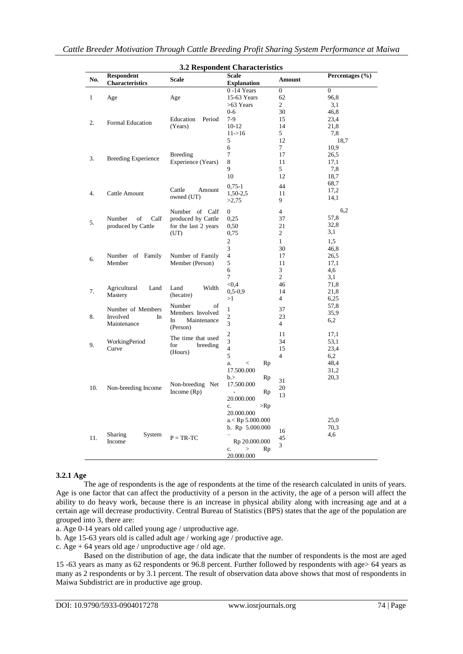| <b>Respondent</b><br>Scale<br>Percentages $(\% )$<br>No.<br><b>Scale</b><br>Amount<br><b>Characteristics</b><br><b>Explanation</b><br>$0 - 14$ Years<br>$\theta$<br>$\overline{0}$<br>15-63 Years<br>62<br>96.8<br>1<br>Age<br>Age<br>$\overline{c}$<br>>63 Years<br>3,1<br>$0 - 6$<br>30<br>46,8<br>$7-9$<br>Education<br>Period<br>15<br>23,4<br>2.<br>Formal Education<br>$10-12$<br>(Years)<br>14<br>21,8<br>$11 - > 16$<br>5<br>7,8<br>5<br>12<br>18,7<br>6<br>7<br>10,9<br><b>Breeding</b><br>7<br>17<br>26,5<br><b>Breeding Experience</b><br>3.<br>Experience (Years)<br>8<br>17,1<br>11<br>9<br>5<br>7,8<br>10<br>12<br>18,7<br>68,7<br>$0,75-1$<br>44<br>Cattle<br>Amount<br>17,2<br>1,50-2,5<br>4.<br>Cattle Amount<br>11<br>owned (UT)<br>14,1<br>9<br>>2,75<br>6,2<br>Number of Calf<br>$\overline{0}$<br>$\overline{4}$<br>57,8<br>of<br>produced by Cattle<br>0.25<br>Number<br>Calf<br>37<br>5.<br>32,8<br>produced by Cattle<br>for the last 2 years<br>0,50<br>21<br>3,1<br>(UT)<br>0,75<br>2<br>2<br>$\mathbf{1}$<br>1,5<br>3<br>30<br>46.8<br>Number of Family<br>$\overline{4}$<br>Number of Family<br>17<br>26,5<br>6.<br>Member (Person)<br>5<br>Member<br>11<br>17,1<br>6<br>3<br>4,6<br>7<br>2<br>3,1<br>< 0.4<br>71,8<br>46<br>Agricultural<br>Land<br>Width<br>Land<br>7.<br>$0, 5 - 0, 9$<br>14<br>21,8<br>Mastery<br>(hecatre)<br>$\overline{4}$<br>>1<br>6,25<br>Number<br>of<br>57,8<br>Number of Members<br>1<br>37<br>Members Involved<br>35,9<br>8.<br>Involved<br>$\overline{c}$<br>23<br>In.<br>In<br>Maintenance<br>6,2<br>3<br>Maintenance<br>$\overline{4}$<br>(Person)<br>$\overline{c}$<br>11<br>17,1<br>The time that used<br>3<br>34<br>53,1<br>WorkingPeriod<br>9.<br>for<br>breeding<br>$\overline{4}$<br>Curve<br>15<br>23,4<br>(Hours)<br>5<br>$\overline{4}$<br>6,2<br>48,4<br>Rp<br>a.<br>$\,<$<br>17.500.000<br>31,2<br>20,3<br>b.><br>Rp<br>31<br>Non-breeding Net<br>17.500.000<br>10.<br>Non-breeding Income<br>20<br>Income $(Rp)$<br>Rp<br>13<br>20.000.000 |  |  |               |  |
|--------------------------------------------------------------------------------------------------------------------------------------------------------------------------------------------------------------------------------------------------------------------------------------------------------------------------------------------------------------------------------------------------------------------------------------------------------------------------------------------------------------------------------------------------------------------------------------------------------------------------------------------------------------------------------------------------------------------------------------------------------------------------------------------------------------------------------------------------------------------------------------------------------------------------------------------------------------------------------------------------------------------------------------------------------------------------------------------------------------------------------------------------------------------------------------------------------------------------------------------------------------------------------------------------------------------------------------------------------------------------------------------------------------------------------------------------------------------------------------------------------------------------------------------------------------------------------------------------------------------------------------------------------------------------------------------------------------------------------------------------------------------------------------------------------------------------------------------------------------------------------------------------------------------------------------------------------------------------------------------------------------------|--|--|---------------|--|
|                                                                                                                                                                                                                                                                                                                                                                                                                                                                                                                                                                                                                                                                                                                                                                                                                                                                                                                                                                                                                                                                                                                                                                                                                                                                                                                                                                                                                                                                                                                                                                                                                                                                                                                                                                                                                                                                                                                                                                                                                    |  |  |               |  |
|                                                                                                                                                                                                                                                                                                                                                                                                                                                                                                                                                                                                                                                                                                                                                                                                                                                                                                                                                                                                                                                                                                                                                                                                                                                                                                                                                                                                                                                                                                                                                                                                                                                                                                                                                                                                                                                                                                                                                                                                                    |  |  |               |  |
|                                                                                                                                                                                                                                                                                                                                                                                                                                                                                                                                                                                                                                                                                                                                                                                                                                                                                                                                                                                                                                                                                                                                                                                                                                                                                                                                                                                                                                                                                                                                                                                                                                                                                                                                                                                                                                                                                                                                                                                                                    |  |  |               |  |
|                                                                                                                                                                                                                                                                                                                                                                                                                                                                                                                                                                                                                                                                                                                                                                                                                                                                                                                                                                                                                                                                                                                                                                                                                                                                                                                                                                                                                                                                                                                                                                                                                                                                                                                                                                                                                                                                                                                                                                                                                    |  |  |               |  |
|                                                                                                                                                                                                                                                                                                                                                                                                                                                                                                                                                                                                                                                                                                                                                                                                                                                                                                                                                                                                                                                                                                                                                                                                                                                                                                                                                                                                                                                                                                                                                                                                                                                                                                                                                                                                                                                                                                                                                                                                                    |  |  |               |  |
|                                                                                                                                                                                                                                                                                                                                                                                                                                                                                                                                                                                                                                                                                                                                                                                                                                                                                                                                                                                                                                                                                                                                                                                                                                                                                                                                                                                                                                                                                                                                                                                                                                                                                                                                                                                                                                                                                                                                                                                                                    |  |  |               |  |
|                                                                                                                                                                                                                                                                                                                                                                                                                                                                                                                                                                                                                                                                                                                                                                                                                                                                                                                                                                                                                                                                                                                                                                                                                                                                                                                                                                                                                                                                                                                                                                                                                                                                                                                                                                                                                                                                                                                                                                                                                    |  |  |               |  |
|                                                                                                                                                                                                                                                                                                                                                                                                                                                                                                                                                                                                                                                                                                                                                                                                                                                                                                                                                                                                                                                                                                                                                                                                                                                                                                                                                                                                                                                                                                                                                                                                                                                                                                                                                                                                                                                                                                                                                                                                                    |  |  |               |  |
|                                                                                                                                                                                                                                                                                                                                                                                                                                                                                                                                                                                                                                                                                                                                                                                                                                                                                                                                                                                                                                                                                                                                                                                                                                                                                                                                                                                                                                                                                                                                                                                                                                                                                                                                                                                                                                                                                                                                                                                                                    |  |  |               |  |
|                                                                                                                                                                                                                                                                                                                                                                                                                                                                                                                                                                                                                                                                                                                                                                                                                                                                                                                                                                                                                                                                                                                                                                                                                                                                                                                                                                                                                                                                                                                                                                                                                                                                                                                                                                                                                                                                                                                                                                                                                    |  |  |               |  |
|                                                                                                                                                                                                                                                                                                                                                                                                                                                                                                                                                                                                                                                                                                                                                                                                                                                                                                                                                                                                                                                                                                                                                                                                                                                                                                                                                                                                                                                                                                                                                                                                                                                                                                                                                                                                                                                                                                                                                                                                                    |  |  |               |  |
|                                                                                                                                                                                                                                                                                                                                                                                                                                                                                                                                                                                                                                                                                                                                                                                                                                                                                                                                                                                                                                                                                                                                                                                                                                                                                                                                                                                                                                                                                                                                                                                                                                                                                                                                                                                                                                                                                                                                                                                                                    |  |  |               |  |
|                                                                                                                                                                                                                                                                                                                                                                                                                                                                                                                                                                                                                                                                                                                                                                                                                                                                                                                                                                                                                                                                                                                                                                                                                                                                                                                                                                                                                                                                                                                                                                                                                                                                                                                                                                                                                                                                                                                                                                                                                    |  |  |               |  |
|                                                                                                                                                                                                                                                                                                                                                                                                                                                                                                                                                                                                                                                                                                                                                                                                                                                                                                                                                                                                                                                                                                                                                                                                                                                                                                                                                                                                                                                                                                                                                                                                                                                                                                                                                                                                                                                                                                                                                                                                                    |  |  |               |  |
|                                                                                                                                                                                                                                                                                                                                                                                                                                                                                                                                                                                                                                                                                                                                                                                                                                                                                                                                                                                                                                                                                                                                                                                                                                                                                                                                                                                                                                                                                                                                                                                                                                                                                                                                                                                                                                                                                                                                                                                                                    |  |  |               |  |
|                                                                                                                                                                                                                                                                                                                                                                                                                                                                                                                                                                                                                                                                                                                                                                                                                                                                                                                                                                                                                                                                                                                                                                                                                                                                                                                                                                                                                                                                                                                                                                                                                                                                                                                                                                                                                                                                                                                                                                                                                    |  |  |               |  |
|                                                                                                                                                                                                                                                                                                                                                                                                                                                                                                                                                                                                                                                                                                                                                                                                                                                                                                                                                                                                                                                                                                                                                                                                                                                                                                                                                                                                                                                                                                                                                                                                                                                                                                                                                                                                                                                                                                                                                                                                                    |  |  |               |  |
|                                                                                                                                                                                                                                                                                                                                                                                                                                                                                                                                                                                                                                                                                                                                                                                                                                                                                                                                                                                                                                                                                                                                                                                                                                                                                                                                                                                                                                                                                                                                                                                                                                                                                                                                                                                                                                                                                                                                                                                                                    |  |  |               |  |
|                                                                                                                                                                                                                                                                                                                                                                                                                                                                                                                                                                                                                                                                                                                                                                                                                                                                                                                                                                                                                                                                                                                                                                                                                                                                                                                                                                                                                                                                                                                                                                                                                                                                                                                                                                                                                                                                                                                                                                                                                    |  |  |               |  |
|                                                                                                                                                                                                                                                                                                                                                                                                                                                                                                                                                                                                                                                                                                                                                                                                                                                                                                                                                                                                                                                                                                                                                                                                                                                                                                                                                                                                                                                                                                                                                                                                                                                                                                                                                                                                                                                                                                                                                                                                                    |  |  |               |  |
|                                                                                                                                                                                                                                                                                                                                                                                                                                                                                                                                                                                                                                                                                                                                                                                                                                                                                                                                                                                                                                                                                                                                                                                                                                                                                                                                                                                                                                                                                                                                                                                                                                                                                                                                                                                                                                                                                                                                                                                                                    |  |  |               |  |
|                                                                                                                                                                                                                                                                                                                                                                                                                                                                                                                                                                                                                                                                                                                                                                                                                                                                                                                                                                                                                                                                                                                                                                                                                                                                                                                                                                                                                                                                                                                                                                                                                                                                                                                                                                                                                                                                                                                                                                                                                    |  |  |               |  |
|                                                                                                                                                                                                                                                                                                                                                                                                                                                                                                                                                                                                                                                                                                                                                                                                                                                                                                                                                                                                                                                                                                                                                                                                                                                                                                                                                                                                                                                                                                                                                                                                                                                                                                                                                                                                                                                                                                                                                                                                                    |  |  |               |  |
|                                                                                                                                                                                                                                                                                                                                                                                                                                                                                                                                                                                                                                                                                                                                                                                                                                                                                                                                                                                                                                                                                                                                                                                                                                                                                                                                                                                                                                                                                                                                                                                                                                                                                                                                                                                                                                                                                                                                                                                                                    |  |  |               |  |
|                                                                                                                                                                                                                                                                                                                                                                                                                                                                                                                                                                                                                                                                                                                                                                                                                                                                                                                                                                                                                                                                                                                                                                                                                                                                                                                                                                                                                                                                                                                                                                                                                                                                                                                                                                                                                                                                                                                                                                                                                    |  |  |               |  |
|                                                                                                                                                                                                                                                                                                                                                                                                                                                                                                                                                                                                                                                                                                                                                                                                                                                                                                                                                                                                                                                                                                                                                                                                                                                                                                                                                                                                                                                                                                                                                                                                                                                                                                                                                                                                                                                                                                                                                                                                                    |  |  |               |  |
|                                                                                                                                                                                                                                                                                                                                                                                                                                                                                                                                                                                                                                                                                                                                                                                                                                                                                                                                                                                                                                                                                                                                                                                                                                                                                                                                                                                                                                                                                                                                                                                                                                                                                                                                                                                                                                                                                                                                                                                                                    |  |  |               |  |
|                                                                                                                                                                                                                                                                                                                                                                                                                                                                                                                                                                                                                                                                                                                                                                                                                                                                                                                                                                                                                                                                                                                                                                                                                                                                                                                                                                                                                                                                                                                                                                                                                                                                                                                                                                                                                                                                                                                                                                                                                    |  |  |               |  |
|                                                                                                                                                                                                                                                                                                                                                                                                                                                                                                                                                                                                                                                                                                                                                                                                                                                                                                                                                                                                                                                                                                                                                                                                                                                                                                                                                                                                                                                                                                                                                                                                                                                                                                                                                                                                                                                                                                                                                                                                                    |  |  |               |  |
|                                                                                                                                                                                                                                                                                                                                                                                                                                                                                                                                                                                                                                                                                                                                                                                                                                                                                                                                                                                                                                                                                                                                                                                                                                                                                                                                                                                                                                                                                                                                                                                                                                                                                                                                                                                                                                                                                                                                                                                                                    |  |  |               |  |
|                                                                                                                                                                                                                                                                                                                                                                                                                                                                                                                                                                                                                                                                                                                                                                                                                                                                                                                                                                                                                                                                                                                                                                                                                                                                                                                                                                                                                                                                                                                                                                                                                                                                                                                                                                                                                                                                                                                                                                                                                    |  |  |               |  |
|                                                                                                                                                                                                                                                                                                                                                                                                                                                                                                                                                                                                                                                                                                                                                                                                                                                                                                                                                                                                                                                                                                                                                                                                                                                                                                                                                                                                                                                                                                                                                                                                                                                                                                                                                                                                                                                                                                                                                                                                                    |  |  |               |  |
|                                                                                                                                                                                                                                                                                                                                                                                                                                                                                                                                                                                                                                                                                                                                                                                                                                                                                                                                                                                                                                                                                                                                                                                                                                                                                                                                                                                                                                                                                                                                                                                                                                                                                                                                                                                                                                                                                                                                                                                                                    |  |  |               |  |
|                                                                                                                                                                                                                                                                                                                                                                                                                                                                                                                                                                                                                                                                                                                                                                                                                                                                                                                                                                                                                                                                                                                                                                                                                                                                                                                                                                                                                                                                                                                                                                                                                                                                                                                                                                                                                                                                                                                                                                                                                    |  |  |               |  |
|                                                                                                                                                                                                                                                                                                                                                                                                                                                                                                                                                                                                                                                                                                                                                                                                                                                                                                                                                                                                                                                                                                                                                                                                                                                                                                                                                                                                                                                                                                                                                                                                                                                                                                                                                                                                                                                                                                                                                                                                                    |  |  |               |  |
|                                                                                                                                                                                                                                                                                                                                                                                                                                                                                                                                                                                                                                                                                                                                                                                                                                                                                                                                                                                                                                                                                                                                                                                                                                                                                                                                                                                                                                                                                                                                                                                                                                                                                                                                                                                                                                                                                                                                                                                                                    |  |  |               |  |
|                                                                                                                                                                                                                                                                                                                                                                                                                                                                                                                                                                                                                                                                                                                                                                                                                                                                                                                                                                                                                                                                                                                                                                                                                                                                                                                                                                                                                                                                                                                                                                                                                                                                                                                                                                                                                                                                                                                                                                                                                    |  |  |               |  |
|                                                                                                                                                                                                                                                                                                                                                                                                                                                                                                                                                                                                                                                                                                                                                                                                                                                                                                                                                                                                                                                                                                                                                                                                                                                                                                                                                                                                                                                                                                                                                                                                                                                                                                                                                                                                                                                                                                                                                                                                                    |  |  |               |  |
|                                                                                                                                                                                                                                                                                                                                                                                                                                                                                                                                                                                                                                                                                                                                                                                                                                                                                                                                                                                                                                                                                                                                                                                                                                                                                                                                                                                                                                                                                                                                                                                                                                                                                                                                                                                                                                                                                                                                                                                                                    |  |  |               |  |
|                                                                                                                                                                                                                                                                                                                                                                                                                                                                                                                                                                                                                                                                                                                                                                                                                                                                                                                                                                                                                                                                                                                                                                                                                                                                                                                                                                                                                                                                                                                                                                                                                                                                                                                                                                                                                                                                                                                                                                                                                    |  |  |               |  |
|                                                                                                                                                                                                                                                                                                                                                                                                                                                                                                                                                                                                                                                                                                                                                                                                                                                                                                                                                                                                                                                                                                                                                                                                                                                                                                                                                                                                                                                                                                                                                                                                                                                                                                                                                                                                                                                                                                                                                                                                                    |  |  |               |  |
|                                                                                                                                                                                                                                                                                                                                                                                                                                                                                                                                                                                                                                                                                                                                                                                                                                                                                                                                                                                                                                                                                                                                                                                                                                                                                                                                                                                                                                                                                                                                                                                                                                                                                                                                                                                                                                                                                                                                                                                                                    |  |  |               |  |
|                                                                                                                                                                                                                                                                                                                                                                                                                                                                                                                                                                                                                                                                                                                                                                                                                                                                                                                                                                                                                                                                                                                                                                                                                                                                                                                                                                                                                                                                                                                                                                                                                                                                                                                                                                                                                                                                                                                                                                                                                    |  |  |               |  |
|                                                                                                                                                                                                                                                                                                                                                                                                                                                                                                                                                                                                                                                                                                                                                                                                                                                                                                                                                                                                                                                                                                                                                                                                                                                                                                                                                                                                                                                                                                                                                                                                                                                                                                                                                                                                                                                                                                                                                                                                                    |  |  |               |  |
|                                                                                                                                                                                                                                                                                                                                                                                                                                                                                                                                                                                                                                                                                                                                                                                                                                                                                                                                                                                                                                                                                                                                                                                                                                                                                                                                                                                                                                                                                                                                                                                                                                                                                                                                                                                                                                                                                                                                                                                                                    |  |  |               |  |
|                                                                                                                                                                                                                                                                                                                                                                                                                                                                                                                                                                                                                                                                                                                                                                                                                                                                                                                                                                                                                                                                                                                                                                                                                                                                                                                                                                                                                                                                                                                                                                                                                                                                                                                                                                                                                                                                                                                                                                                                                    |  |  |               |  |
|                                                                                                                                                                                                                                                                                                                                                                                                                                                                                                                                                                                                                                                                                                                                                                                                                                                                                                                                                                                                                                                                                                                                                                                                                                                                                                                                                                                                                                                                                                                                                                                                                                                                                                                                                                                                                                                                                                                                                                                                                    |  |  | c.<br>$>$ Rp  |  |
| 20.000.000                                                                                                                                                                                                                                                                                                                                                                                                                                                                                                                                                                                                                                                                                                                                                                                                                                                                                                                                                                                                                                                                                                                                                                                                                                                                                                                                                                                                                                                                                                                                                                                                                                                                                                                                                                                                                                                                                                                                                                                                         |  |  |               |  |
| $a <$ Rp 5.000.000<br>25,0                                                                                                                                                                                                                                                                                                                                                                                                                                                                                                                                                                                                                                                                                                                                                                                                                                                                                                                                                                                                                                                                                                                                                                                                                                                                                                                                                                                                                                                                                                                                                                                                                                                                                                                                                                                                                                                                                                                                                                                         |  |  |               |  |
| 70.3<br>b. Rp 5.000.000<br>16                                                                                                                                                                                                                                                                                                                                                                                                                                                                                                                                                                                                                                                                                                                                                                                                                                                                                                                                                                                                                                                                                                                                                                                                                                                                                                                                                                                                                                                                                                                                                                                                                                                                                                                                                                                                                                                                                                                                                                                      |  |  |               |  |
| 4,6<br>Sharing<br>System<br>11.<br>$P = TR-TC$<br>45                                                                                                                                                                                                                                                                                                                                                                                                                                                                                                                                                                                                                                                                                                                                                                                                                                                                                                                                                                                                                                                                                                                                                                                                                                                                                                                                                                                                                                                                                                                                                                                                                                                                                                                                                                                                                                                                                                                                                               |  |  |               |  |
| Rp 20.000.000<br>Income<br>3                                                                                                                                                                                                                                                                                                                                                                                                                                                                                                                                                                                                                                                                                                                                                                                                                                                                                                                                                                                                                                                                                                                                                                                                                                                                                                                                                                                                                                                                                                                                                                                                                                                                                                                                                                                                                                                                                                                                                                                       |  |  |               |  |
|                                                                                                                                                                                                                                                                                                                                                                                                                                                                                                                                                                                                                                                                                                                                                                                                                                                                                                                                                                                                                                                                                                                                                                                                                                                                                                                                                                                                                                                                                                                                                                                                                                                                                                                                                                                                                                                                                                                                                                                                                    |  |  | Rp<br>c.<br>> |  |
|                                                                                                                                                                                                                                                                                                                                                                                                                                                                                                                                                                                                                                                                                                                                                                                                                                                                                                                                                                                                                                                                                                                                                                                                                                                                                                                                                                                                                                                                                                                                                                                                                                                                                                                                                                                                                                                                                                                                                                                                                    |  |  | 20.000.000    |  |

#### **3.2.1 Age**

The age of respondents is the age of respondents at the time of the research calculated in units of years. Age is one factor that can affect the productivity of a person in the activity, the age of a person will affect the ability to do heavy work, because there is an increase in physical ability along with increasing age and at a certain age will decrease productivity. Central Bureau of Statistics (BPS) states that the age of the population are grouped into 3, there are:

a. Age 0-14 years old called young age / unproductive age.

b. Age 15-63 years old is called adult age / working age / productive age.

c. Age + 64 years old age / unproductive age / old age.

Based on the distribution of age, the data indicate that the number of respondents is the most are aged 15 -63 years as many as 62 respondents or 96.8 percent. Further followed by respondents with age> 64 years as many as 2 respondents or by 3.1 percent. The result of observation data above shows that most of respondents in Maiwa Subdistrict are in productive age group.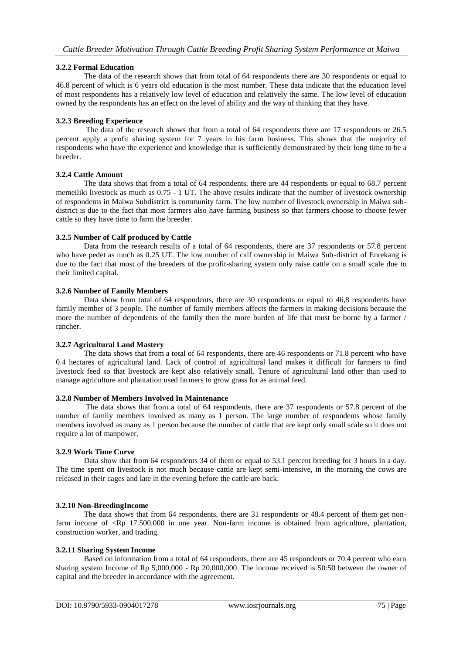## **3.2.2 Formal Education**

The data of the research shows that from total of 64 respondents there are 30 respondents or equal to 46.8 percent of which is 6 years old education is the most number. These data indicate that the education level of most respondents has a relatively low level of education and relatively the same. The low level of education owned by the respondents has an effect on the level of ability and the way of thinking that they have.

## **3.2.3 Breeding Experience**

The data of the research shows that from a total of 64 respondents there are 17 respondents or 26.5 percent apply a profit sharing system for 7 years in his farm business. This shows that the majority of respondents who have the experience and knowledge that is sufficiently demonstrated by their long time to be a breeder.

## **3.2.4 Cattle Amount**

The data shows that from a total of 64 respondents, there are 44 respondents or equal to 68.7 percent memeiliki livestock as much as 0.75 - 1 UT. The above results indicate that the number of livestock ownership of respondents in Maiwa Subdistrict is community farm. The low number of livestock ownership in Maiwa subdistrict is due to the fact that most farmers also have farming business so that farmers choose to choose fewer cattle so they have time to farm the breeder.

## **3.2.5 Number of Calf produced by Cattle**

Data from the research results of a total of 64 respondents, there are 37 respondents or 57.8 percent who have pedet as much as 0.25 UT. The low number of calf ownership in Maiwa Sub-district of Enrekang is due to the fact that most of the breeders of the profit-sharing system only raise cattle on a small scale due to their limited capital.

## **3.2.6 Number of Family Members**

Data show from total of 64 respondents, there are 30 respondents or equal to 46,8 respondents have family member of 3 people. The number of family members affects the farmers in making decisions because the more the number of dependents of the family then the more burden of life that must be borne by a farmer / rancher.

#### **3.2.7 Agricultural Land Mastery**

The data shows that from a total of 64 respondents, there are 46 respondents or 71.8 percent who have 0.4 hectares of agricultural land. Lack of control of agricultural land makes it difficult for farmers to find livestock feed so that livestock are kept also relatively small. Tenure of agricultural land other than used to manage agriculture and plantation used farmers to grow grass for as animal feed.

#### **3.2.8 Number of Members Involved In Maintenance**

The data shows that from a total of 64 respondents, there are 37 respondents or 57.8 percent of the number of family members involved as many as 1 person. The large number of respondents whose family members involved as many as 1 person because the number of cattle that are kept only small scale so it does not require a lot of manpower.

#### **3.2.9 Work Time Curve**

Data show that from 64 respondents 34 of them or equal to 53.1 percent breeding for 3 hours in a day. The time spent on livestock is not much because cattle are kept semi-intensive, in the morning the cows are released in their cages and late in the evening before the cattle are back.

# **3.2.10 Non-BreedingIncome**

The data shows that from 64 respondents, there are 31 respondents or 48.4 percent of them get nonfarm income of  $\langle Rp \mid 17.500.000 \rangle$  in one year. Non-farm income is obtained from agriculture, plantation, construction worker, and trading.

#### **3.2.11 Sharing System Income**

Based on information from a total of 64 respondents, there are 45 respondents or 70.4 percent who earn sharing system Income of Rp 5,000,000 - Rp 20,000,000. The income received is 50:50 between the owner of capital and the breeder in accordance with the agreement.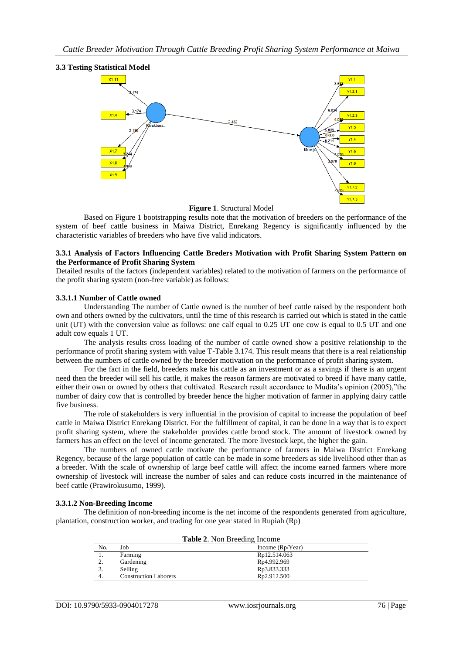

**Figure 1**. Structural Model

Based on Figure 1 bootstrapping results note that the motivation of breeders on the performance of the system of beef cattle business in Maiwa District, Enrekang Regency is significantly influenced by the characteristic variables of breeders who have five valid indicators.

#### **3.3.1 Analysis of Factors Influencing Cattle Breders Motivation with Profit Sharing System Pattern on the Performance of Profit Sharing System**

Detailed results of the factors (independent variables) related to the motivation of farmers on the performance of the profit sharing system (non-free variable) as follows:

#### **3.3.1.1 Number of Cattle owned**

Understanding The number of Cattle owned is the number of beef cattle raised by the respondent both own and others owned by the cultivators, until the time of this research is carried out which is stated in the cattle unit (UT) with the conversion value as follows: one calf equal to 0.25 UT one cow is equal to 0.5 UT and one adult cow equals 1 UT.

The analysis results cross loading of the number of cattle owned show a positive relationship to the performance of profit sharing system with value T-Table 3.174. This result means that there is a real relationship between the numbers of cattle owned by the breeder motivation on the performance of profit sharing system.

For the fact in the field, breeders make his cattle as an investment or as a savings if there is an urgent need then the breeder will sell his cattle, it makes the reason farmers are motivated to breed if have many cattle, either their own or owned by others that cultivated. Research result accordance to Mudita's opinion (2005),"the number of dairy cow that is controlled by breeder hence the higher motivation of farmer in applying dairy cattle five business.

The role of stakeholders is very influential in the provision of capital to increase the population of beef cattle in Maiwa District Enrekang District. For the fulfillment of capital, it can be done in a way that is to expect profit sharing system, where the stakeholder provides cattle brood stock. The amount of livestock owned by farmers has an effect on the level of income generated. The more livestock kept, the higher the gain.

The numbers of owned cattle motivate the performance of farmers in Maiwa District Enrekang Regency, because of the large population of cattle can be made in some breeders as side livelihood other than as a breeder. With the scale of ownership of large beef cattle will affect the income earned farmers where more ownership of livestock will increase the number of sales and can reduce costs incurred in the maintenance of beef cattle (Prawirokusumo, 1999).

#### **3.3.1.2 Non-Breeding Income**

The definition of non-breeding income is the net income of the respondents generated from agriculture, plantation, construction worker, and trading for one year stated in Rupiah (Rp)

| <b>Table 2.</b> Non Breeding Income |                              |                    |  |  |
|-------------------------------------|------------------------------|--------------------|--|--|
| No.                                 | Job                          | Income $(Rp/Year)$ |  |  |
|                                     | Farming                      | Rp12.514.063       |  |  |
|                                     | Gardening                    | Rp4.992.969        |  |  |
|                                     | Selling                      | Rp3.833.333        |  |  |
|                                     | <b>Construction Laborers</b> | Rp2.912.500        |  |  |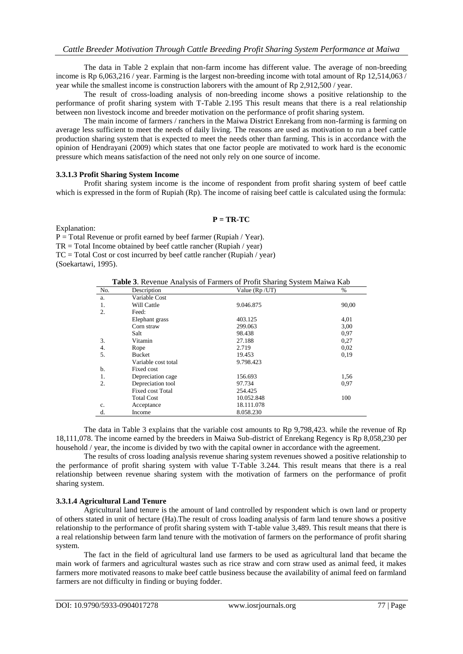The data in Table 2 explain that non-farm income has different value. The average of non-breeding income is Rp 6,063,216 / year. Farming is the largest non-breeding income with total amount of Rp 12,514,063 / year while the smallest income is construction laborers with the amount of Rp 2,912,500 / year.

The result of cross-loading analysis of non-breeding income shows a positive relationship to the performance of profit sharing system with T-Table 2.195 This result means that there is a real relationship between non livestock income and breeder motivation on the performance of profit sharing system.

The main income of farmers / ranchers in the Maiwa District Enrekang from non-farming is farming on average less sufficient to meet the needs of daily living. The reasons are used as motivation to run a beef cattle production sharing system that is expected to meet the needs other than farming. This is in accordance with the opinion of Hendrayani (2009) which states that one factor people are motivated to work hard is the economic pressure which means satisfaction of the need not only rely on one source of income.

## **3.3.1.3 Profit Sharing System Income**

Profit sharing system income is the income of respondent from profit sharing system of beef cattle which is expressed in the form of Rupiah (Rp). The income of raising beef cattle is calculated using the formula:

#### $P = TR-TC$

Explanation:

 $P = Total Revenue or profit earned by beef farmer (Rupiah / Year).$ 

 $TR = Total Income obtained by beef cattle rancher (Rupiah / year)$ 

TC = Total Cost or cost incurred by beef cattle rancher (Rupiah / year)

(Soekartawi, 1995).

**Table 3**. Revenue Analysis of Farmers of Profit Sharing System Maiwa Kab

| No.              | Description             | Value $(Rp/UT)$ | $\%$  |
|------------------|-------------------------|-----------------|-------|
| a.               | Variable Cost           |                 |       |
| 1.               | Will Cattle             | 9.046.875       | 90,00 |
| $\overline{2}$ . | Feed:                   |                 |       |
|                  | Elephant grass          | 403.125         | 4,01  |
|                  | Corn straw              | 299.063         | 3,00  |
|                  | Salt                    | 98.438          | 0.97  |
| 3.               | Vitamin                 | 27.188          | 0,27  |
| 4.               | Rope                    | 2.719           | 0,02  |
| 5.               | <b>Bucket</b>           | 19.453          | 0,19  |
|                  | Variable cost total     | 9.798.423       |       |
| b.               | Fixed cost              |                 |       |
| 1.               | Depreciation cage       | 156.693         | 1,56  |
| $\overline{2}$ . | Depreciation tool       | 97.734          | 0.97  |
|                  | <b>Fixed cost Total</b> | 254.425         |       |
|                  | <b>Total Cost</b>       | 10.052.848      | 100   |
| c.               | Acceptance              | 18.111.078      |       |
| d.               | Income                  | 8.058.230       |       |

The data in Table 3 explains that the variable cost amounts to Rp 9,798,423. while the revenue of Rp 18,111,078. The income earned by the breeders in Maiwa Sub-district of Enrekang Regency is Rp 8,058,230 per household / year, the income is divided by two with the capital owner in accordance with the agreement.

The results of cross loading analysis revenue sharing system revenues showed a positive relationship to the performance of profit sharing system with value T-Table 3.244. This result means that there is a real relationship between revenue sharing system with the motivation of farmers on the performance of profit sharing system.

#### **3.3.1.4 Agricultural Land Tenure**

Agricultural land tenure is the amount of land controlled by respondent which is own land or property of others stated in unit of hectare (Ha).The result of cross loading analysis of farm land tenure shows a positive relationship to the performance of profit sharing system with T-table value 3,489. This result means that there is a real relationship between farm land tenure with the motivation of farmers on the performance of profit sharing system.

The fact in the field of agricultural land use farmers to be used as agricultural land that became the main work of farmers and agricultural wastes such as rice straw and corn straw used as animal feed, it makes farmers more motivated reasons to make beef cattle business because the availability of animal feed on farmland farmers are not difficulty in finding or buying fodder.